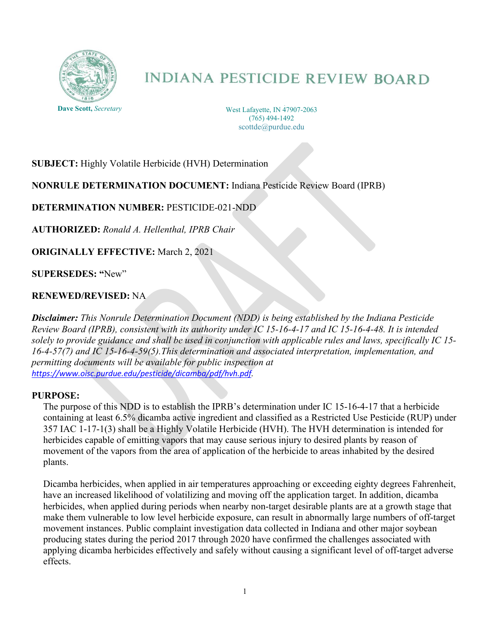

# **INDIANA PESTICIDE REVIEW BOARD**

175 S. University Street West Lafayette, IN 47907-2063 (765) 494-1492 scottde@purdue.edu

# **SUBJECT:** Highly Volatile Herbicide (HVH) Determination

## **NONRULE DETERMINATION DOCUMENT:** Indiana Pesticide Review Board (IPRB)

# **DETERMINATION NUMBER:** PESTICIDE-021-NDD

**AUTHORIZED:** *Ronald A. Hellenthal, IPRB Chair*

**ORIGINALLY EFFECTIVE:** March 2, 2021

**SUPERSEDES: "**New"

## **RENEWED/REVISED:** NA

*Disclaimer: This Nonrule Determination Document (NDD) is being established by the Indiana Pesticide Review Board (IPRB), consistent with its authority under IC 15-16-4-17 and IC 15-16-4-48. It is intended solely to provide guidance and shall be used in conjunction with applicable rules and laws, specifically IC 15- 16-4-57(7) and IC 15-16-4-59(5).This determination and associated interpretation, implementation, and permitting documents will be available for public inspection at <https://www.oisc.purdue.edu/pesticide/dicamba/pdf/hvh.pdf>.*

#### **PURPOSE:**

The purpose of this NDD is to establish the IPRB's determination under IC 15-16-4-17 that a herbicide containing at least 6.5% dicamba active ingredient and classified as a Restricted Use Pesticide (RUP) under 357 IAC 1-17-1(3) shall be a Highly Volatile Herbicide (HVH). The HVH determination is intended for herbicides capable of emitting vapors that may cause serious injury to desired plants by reason of movement of the vapors from the area of application of the herbicide to areas inhabited by the desired plants.

Dicamba herbicides, when applied in air temperatures approaching or exceeding eighty degrees Fahrenheit, have an increased likelihood of volatilizing and moving off the application target. In addition, dicamba herbicides, when applied during periods when nearby non-target desirable plants are at a growth stage that make them vulnerable to low level herbicide exposure, can result in abnormally large numbers of off-target movement instances. Public complaint investigation data collected in Indiana and other major soybean producing states during the period 2017 through 2020 have confirmed the challenges associated with applying dicamba herbicides effectively and safely without causing a significant level of off-target adverse effects.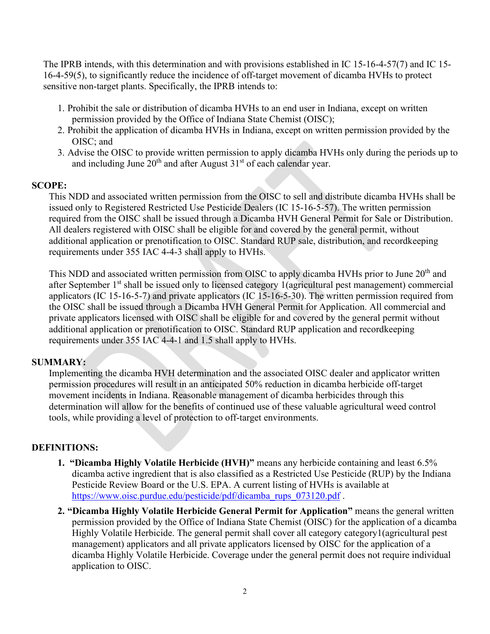The IPRB intends, with this determination and with provisions established in IC 15-16-4-57(7) and IC 15- 16-4-59(5), to significantly reduce the incidence of off-target movement of dicamba HVHs to protect sensitive non-target plants. Specifically, the IPRB intends to:

- 1. Prohibit the sale or distribution of dicamba HVHs to an end user in Indiana, except on written permission provided by the Office of Indiana State Chemist (OISC);
- 2. Prohibit the application of dicamba HVHs in Indiana, except on written permission provided by the OISC; and
- 3. Advise the OISC to provide written permission to apply dicamba HVHs only during the periods up to and including June  $20<sup>th</sup>$  and after August  $31<sup>st</sup>$  of each calendar year.

## **SCOPE:**

This NDD and associated written permission from the OISC to sell and distribute dicamba HVHs shall be issued only to Registered Restricted Use Pesticide Dealers (IC 15-16-5-57). The written permission required from the OISC shall be issued through a Dicamba HVH General Permit for Sale or Distribution. All dealers registered with OISC shall be eligible for and covered by the general permit, without additional application or prenotification to OISC. Standard RUP sale, distribution, and recordkeeping requirements under 355 IAC 4-4-3 shall apply to HVHs.

This NDD and associated written permission from OISC to apply dicamba HVHs prior to June 20<sup>th</sup> and after September 1<sup>st</sup> shall be issued only to licensed category 1(agricultural pest management) commercial applicators (IC 15-16-5-7) and private applicators (IC 15-16-5-30). The written permission required from the OISC shall be issued through a Dicamba HVH General Permit for Application. All commercial and private applicators licensed with OISC shall be eligible for and covered by the general permit without additional application or prenotification to OISC. Standard RUP application and recordkeeping requirements under 355 IAC 4-4-1 and 1.5 shall apply to HVHs.

#### **SUMMARY:**

Implementing the dicamba HVH determination and the associated OISC dealer and applicator written permission procedures will result in an anticipated 50% reduction in dicamba herbicide off-target movement incidents in Indiana. Reasonable management of dicamba herbicides through this determination will allow for the benefits of continued use of these valuable agricultural weed control tools, while providing a level of protection to off-target environments.

#### **DEFINITIONS:**

- **1. "Dicamba Highly Volatile Herbicide (HVH)"** means any herbicide containing and least 6.5% dicamba active ingredient that is also classified as a Restricted Use Pesticide (RUP) by the Indiana Pesticide Review Board or the U.S. EPA. A current listing of HVHs is available at [https://www.oisc.purdue.edu/pesticide/pdf/dicamba\\_rups\\_073120.pdf](https://www.oisc.purdue.edu/pesticide/pdf/dicamba_rups_073120.pdf).
- **2. "Dicamba Highly Volatile Herbicide General Permit for Application"** means the general written permission provided by the Office of Indiana State Chemist (OISC) for the application of a dicamba Highly Volatile Herbicide. The general permit shall cover all category category1(agricultural pest management) applicators and all private applicators licensed by OISC for the application of a dicamba Highly Volatile Herbicide. Coverage under the general permit does not require individual application to OISC.